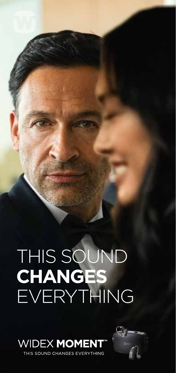## THIS SOUND **CHANGES** EVERYTHING





THIS SOUND CHANGES EVERYTHING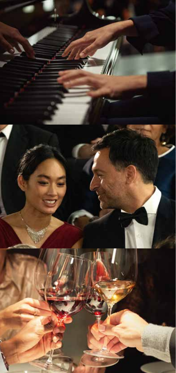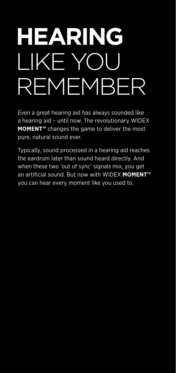# **HEARING**  LIKE YOU REMEMBER

Even a great hearing aid has always sounded like a hearing aid – until now. The revolutionary WIDEX **MOMENT™** changes the game to deliver the most pure, natural sound ever.

Typically, sound processed in a hearing aid reaches the eardrum later than sound heard directly. And when these two 'out of sync' signals mix, you get an artificial sound. But now with WIDEX **MOMENT™**  you can hear every moment like you used to.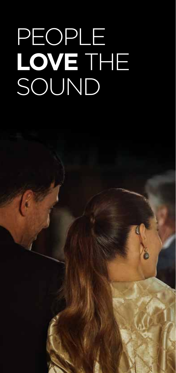# PEOPLE **LOVE** THE SOUND

U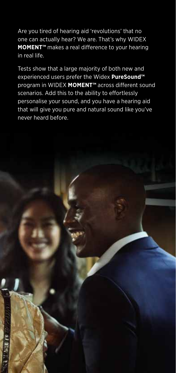Are you tired of hearing aid 'revolutions' that no one can actually hear? We are. That's why WIDEX **MOMENT™** makes a real difference to your hearing in real life.

Tests show that a large majority of both new and experienced users prefer the Widex **PureSound™**  program in WIDEX **MOMENT™** across different sound scenarios. Add this to the ability to effortlessly personalise your sound, and you have a hearing aid that will give you pure and natural sound like you've never heard before.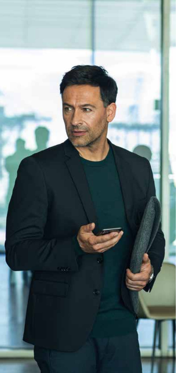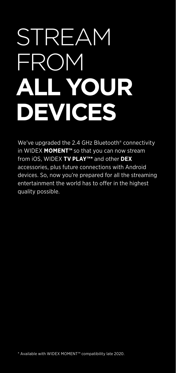# STREAM FROM **ALL YOUR DEVICES**

We've upgraded the 2.4 GHz Bluetooth<sup>®</sup> connectivity in WIDEX **MOMENT™** so that you can now stream from iOS, WIDEX **TV PLAY™\*** and other **DEX**  accessories, plus future connections with Android devices. So, now you're prepared for all the streaming entertainment the world has to offer in the highest quality possible.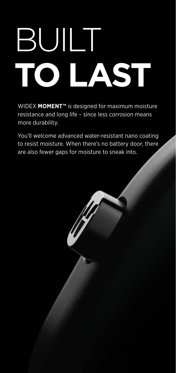# BUILT **TO LAST**

WIDEX **MOMENT™** is designed for maximum moisture resistance and long life – since less corrosion means more durability.

You'll welcome advanced water-resistant nano coating to resist moisture. When there's no battery door, there are also fewer gaps for moisture to sneak into.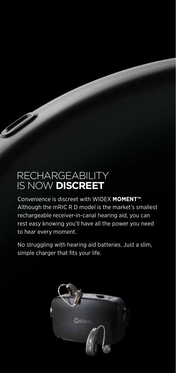## RECHARGEABILITY IS NOW **DISCREET**

Convenience is discreet with WIDEX **MOMENT™**. Although the mRIC R D model is the market's smallest rechargeable receiver-in-canal hearing aid, you can rest easy knowing you'll have all the power you need to hear every moment.

No struggling with hearing aid batteries. Just a slim, simple charger that fits your life.

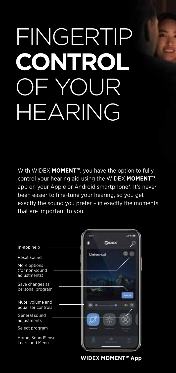# FINGERTIP **CONTROL** OF YOUR HEARING

With WIDEX **MOMENT™**, you have the option to fully control your hearing aid using the WIDEX **MOMENT™** app on your Apple or Android smartphone\*. It's never been easier to fine-tune your hearing, so you get exactly the sound you prefer – in exactly the moments that are important to you.



**WIDEX MOMENT™ App**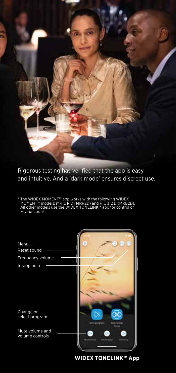

Rigorous testing has verified that the app is easy and intuitive. And a 'dark mode' ensures discreet use.

\* The WIDEX MOMENT™ app works with the following WIDEX<br>MOMENT™ models: mRIC R D (MRR2D) and RIC 312 D (MRB2D).<br>All other models use the WIDEX TONELINK™ app for control of key functions.

| Menu<br>Reset sound<br>Frequency volume |  |
|-----------------------------------------|--|
| In-app help                             |  |
| Change or<br>select program             |  |
| Mute volume and<br>volume controls      |  |

**WIDEX TONELINK™ App**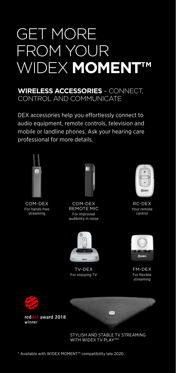## GET MORE FROM YOUR WIDEX **MOMENT™**

#### **WIRELESS ACCESSORIES** – CONNECT, CONTROL AND COMMUNICATE

DEX accessories help you effortlessly connect to audio equipment, remote controls, television and mobile or landline phones. Ask your hearing care professional for more details.



COM-DEX For hands-free streaming



COM-DEX REMOTE MIC For improved audibility in noise



TV-DEX For enjoying TV



RC-DEX Your remote control



FM-DEX For flexible streaming





STYLISH AND STABLE TV STREAMING WITH WIDEX TV PLAY™

œ

\* Available with WIDEX MOMENT™ compatibility late 2020.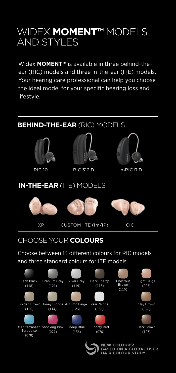## WIDEX **MOMENT™** MODELS AND STYLES

Widex **MOMENT™** is available in three behind-theear (RIC) models and three in-the-ear (ITE) models. Your hearing care professional can help you choose the ideal model for your specific hearing loss and lifestyle.

## **BEHIND-THE-EAR** (RIC) MODELS







### **IN-THE-EAR** (ITE) MODELS





## CHOOSE YOUR **COLOURS**

Choose between 13 different colours for RIC models and three standard colours for ITE models.



**BASED ON A GLOBAL USER**<br>HAIR COLOUR STUDY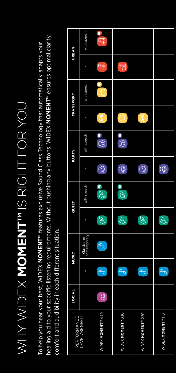# WHY WIDEX MOMENT" IS RIGHT FOR YOU WHY WIDEX **MOMENT™** IS RIGHT FOR YOU

hearing aid to your specific listening requirements. Without pushing any buttons, WIDEX MOMENT<sup>IN</sup> ensures optimal clarity, hearing aid to your specific listening requirements. Without pushing any buttons, WIDEX **MOMENT™** ensures optimal clarity, To help you hear your best, WIDEX **MOMENT™** features exclusive Sound Class Technology that automatically adapts your To help you hear your best, WIDEX MOMENT™ features exclusive Sound Class Technology that automatically adapts your comfort and audibility in each different situation. comfort and audibility in each different situation.

| PERFORMANCE<br>LEVEL/BENEFIT   | <b>SOCIAL</b>                        |                           | MUSIC                        | <b>TELIO</b>             |                            | PARTY                                     |                                                                                               |              | <b><i>TRANSPORT</i></b> | <b>URBAN</b> |                                                    |
|--------------------------------|--------------------------------------|---------------------------|------------------------------|--------------------------|----------------------------|-------------------------------------------|-----------------------------------------------------------------------------------------------|--------------|-------------------------|--------------|----------------------------------------------------|
|                                |                                      | I                         | Classical or<br>contemporary | I                        | with speech                | I                                         | with speech                                                                                   | I            | with speech             | I            | with speech                                        |
| WIDEX MOMENT <sup>1440</sup>   | $\mathbb{C}^{\text{sc}}_{\text{sc}}$ | 20                        | 40                           | $\bigotimes$             | $\mathscr{P}(\mathscr{A})$ | Dage                                      | $\bigcap_{\substack{y_0\in\mathcal{Y}_0\\ \wedge\mathcal{C}}} \bigcap_{\alpha\in\mathcal{C}}$ | $\mathbb{C}$ | C                       | 疅            | $\begin{array}{c} \bullet \\ \text{d} \end{array}$ |
| WIDEX MOMENT <sup>**</sup> 330 |                                      | $\mathbb{Z}_{\mathbb{O}}$ |                              | $\overline{\mathscr{D}}$ | $\mathscr{D}$              | Dark                                      | $\overline{\mathbb{R}}_{\mathbb{R}^{36}_0}$                                                   | $C_2$        |                         | 疅            |                                                    |
| WIDEX MOMENT <sup>14</sup> 220 |                                      | 20                        |                              | $\mathscr{D}$            |                            | $\widetilde{D_{\text{opt}}^{\text{out}}}$ |                                                                                               | C            |                         |              |                                                    |
| WIDEX MOMENT" 110              |                                      | 40                        |                              | $\mathcal{D}$            |                            | Dage                                      |                                                                                               |              |                         |              |                                                    |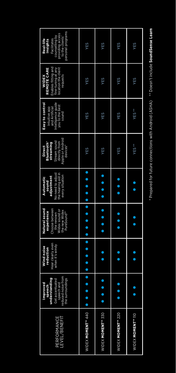| EVEL/BENEFIT<br>PERFORMANCE    | educed noise from<br>the surroundings<br>understanding<br>Get accentuated<br>speech and<br>mprovec<br>speech | <b>Hear clearly even</b><br>when it's windy<br>Wind noise<br>reduction | Natural sound<br>Choose between<br>Widex sound or<br>the new Widex<br>PureSound™<br>experience<br>the renown | No need to adjust<br>the hearing aid in<br>every situation<br>sound<br>adjustment<br>Automatic | directly from<br>Apple or Android<br>Stream sound<br><b>Bluetooth</b><br>streaming<br>devices*<br><b>Direct</b> | Easy to control<br>ntelligence guide<br>you to the best<br>Intuitive app<br>and Artificial<br>punos | Enables fitting and<br><b>REMOTE CARE</b><br>fine-tuning at any<br>location the client<br>requests<br><b>WIDEX</b> | personal programs<br>counselling by<br>providing access<br>to the clients'<br><b>Facilitates</b><br><b>Real-life</b><br>insights |
|--------------------------------|--------------------------------------------------------------------------------------------------------------|------------------------------------------------------------------------|--------------------------------------------------------------------------------------------------------------|------------------------------------------------------------------------------------------------|-----------------------------------------------------------------------------------------------------------------|-----------------------------------------------------------------------------------------------------|--------------------------------------------------------------------------------------------------------------------|----------------------------------------------------------------------------------------------------------------------------------|
|                                |                                                                                                              |                                                                        |                                                                                                              |                                                                                                | YES                                                                                                             | YES                                                                                                 | YES                                                                                                                | YES                                                                                                                              |
| WIDEX MOMENT" 330              | $\bullet$ $\bullet$ $\bullet$                                                                                | <br>                                                                   |                                                                                                              | .                                                                                              | <b>YES</b>                                                                                                      | YES                                                                                                 | YES                                                                                                                | YES                                                                                                                              |
| WIDEX MOMENT <sup>**</sup> 220 | $\bullet$ $\bullet$                                                                                          |                                                                        | $\ddot{\bullet}$                                                                                             | $\bullet$ $\bullet$                                                                            | YES                                                                                                             | YES                                                                                                 | YES                                                                                                                | YES                                                                                                                              |
| WIDEX MOMENT" 110              |                                                                                                              |                                                                        | .<br>.                                                                                                       |                                                                                                | YES **                                                                                                          | YES **                                                                                              | YES                                                                                                                | <b>YES</b>                                                                                                                       |

\* Prepared for future connections with Android (ASHA) \*\*\* Doesn't include SoundSense Learn \* Prepared for future connections with Android (ASHA) \*\* Doesn't include **SoundSense Learn**